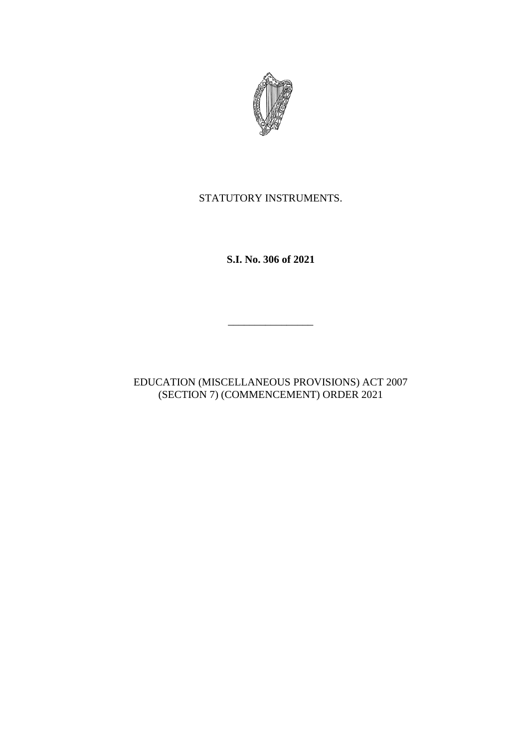

## STATUTORY INSTRUMENTS.

**S.I. No. 306 of 2021**

EDUCATION (MISCELLANEOUS PROVISIONS) ACT 2007 (SECTION 7) (COMMENCEMENT) ORDER 2021

\_\_\_\_\_\_\_\_\_\_\_\_\_\_\_\_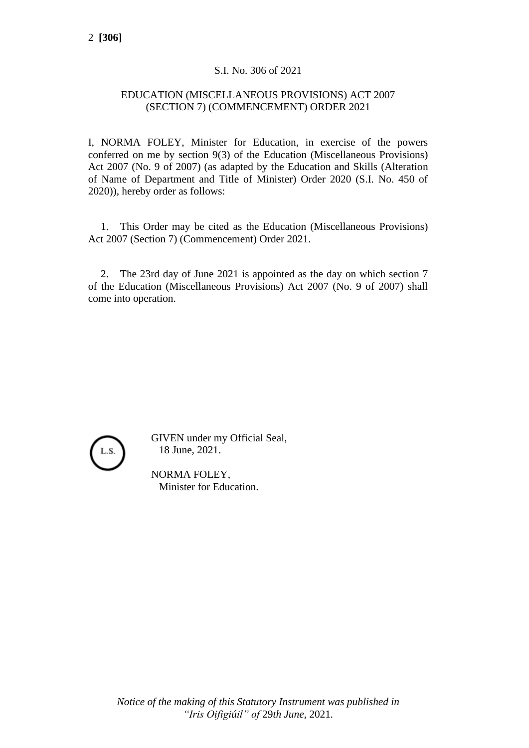## S.I. No. 306 of 2021

## EDUCATION (MISCELLANEOUS PROVISIONS) ACT 2007 (SECTION 7) (COMMENCEMENT) ORDER 2021

I, NORMA FOLEY, Minister for Education, in exercise of the powers conferred on me by section 9(3) of the Education (Miscellaneous Provisions) Act 2007 (No. 9 of 2007) (as adapted by the Education and Skills (Alteration of Name of Department and Title of Minister) Order 2020 (S.I. No. 450 of 2020)), hereby order as follows:

1. This Order may be cited as the Education (Miscellaneous Provisions) Act 2007 (Section 7) (Commencement) Order 2021.

2. The 23rd day of June 2021 is appointed as the day on which section 7 of the Education (Miscellaneous Provisions) Act 2007 (No. 9 of 2007) shall come into operation.



GIVEN under my Official Seal, 18 June, 2021.

NORMA FOLEY, Minister for Education.